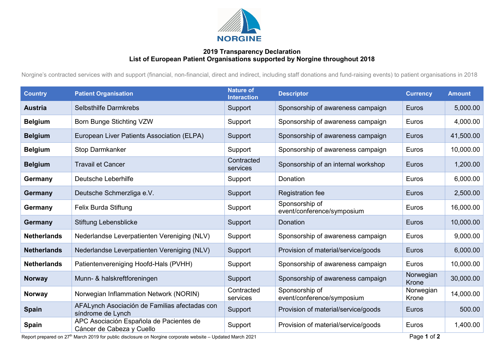

## **2019 Transparency Declaration List of European Patient Organisations supported by Norgine throughout 2018**

Norgine's contracted services with and support (financial, non-financial, direct and indirect, including staff donations and fund-raising events) to patient organisations in 2018

| <b>Country</b>     | <b>Patient Organisation</b>                                          | <b>Nature of</b><br><b>Interaction</b> | <b>Descriptor</b>                            | <b>Currency</b>    | <b>Amount</b> |
|--------------------|----------------------------------------------------------------------|----------------------------------------|----------------------------------------------|--------------------|---------------|
| <b>Austria</b>     | <b>Selbsthilfe Darmkrebs</b>                                         | Support                                | Sponsorship of awareness campaign            | Euros              | 5,000.00      |
| <b>Belgium</b>     | Born Bunge Stichting VZW                                             | Support                                | Sponsorship of awareness campaign            | Euros              | 4,000.00      |
| <b>Belgium</b>     | European Liver Patients Association (ELPA)                           | Support                                | Sponsorship of awareness campaign            | <b>Euros</b>       | 41,500.00     |
| <b>Belgium</b>     | <b>Stop Darmkanker</b>                                               | Support                                | Sponsorship of awareness campaign            | Euros              | 10,000.00     |
| <b>Belgium</b>     | <b>Travail et Cancer</b>                                             | Contracted<br>services                 | Sponsorship of an internal workshop          | Euros              | 1,200.00      |
| Germany            | Deutsche Leberhilfe                                                  | Support                                | Donation                                     | Euros              | 6,000.00      |
| Germany            | Deutsche Schmerzliga e.V.                                            | Support                                | <b>Registration fee</b>                      | Euros              | 2,500.00      |
| Germany            | Felix Burda Stiftung                                                 | Support                                | Sponsorship of<br>event/conference/symposium | Euros              | 16,000.00     |
| Germany            | Stiftung Lebensblicke                                                | Support                                | Donation                                     | Euros              | 10,000.00     |
| <b>Netherlands</b> | Nederlandse Leverpatienten Vereniging (NLV)                          | Support                                | Sponsorship of awareness campaign            | Euros              | 9,000.00      |
| <b>Netherlands</b> | Nederlandse Leverpatienten Vereniging (NLV)                          | Support                                | Provision of material/service/goods          | Euros              | 6,000.00      |
| <b>Netherlands</b> | Patientenvereniging Hoofd-Hals (PVHH)                                | Support                                | Sponsorship of awareness campaign            | Euros              | 10,000.00     |
| <b>Norway</b>      | Munn- & halskreftforeningen                                          | Support                                | Sponsorship of awareness campaign            | Norwegian<br>Krone | 30,000.00     |
| Norway             | Norwegian Inflammation Network (NORIN)                               | Contracted<br>services                 | Sponsorship of<br>event/conference/symposium | Norwegian<br>Krone | 14,000.00     |
| <b>Spain</b>       | AFALynch Asociación de Familias afectadas con<br>síndrome de Lynch   | Support                                | Provision of material/service/goods          | <b>Euros</b>       | 500.00        |
| <b>Spain</b>       | APC Asociación Española de Pacientes de<br>Cáncer de Cabeza y Cuello | Support                                | Provision of material/service/goods          | Euros              | 1,400.00      |

Report prepared on 27<sup>th</sup> March 2019 for public disclosure on Norgine corporate website – Updated March 2021 Page 1 of 2